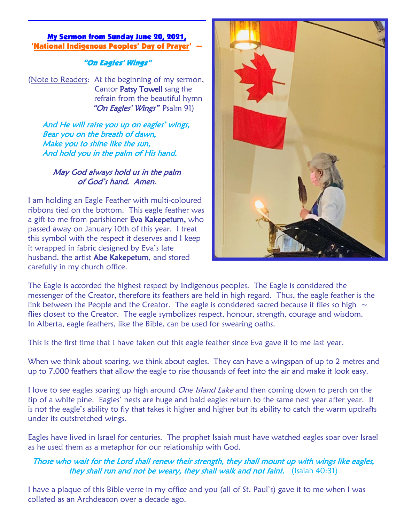#### My Sermon from Sunday June 20, 2021, 'National Indigenous Peoples' Day of

"On Eagles' Wings"

(Note to Readers: At the beginning of my sermon, Cantor Patsy Towell sang the refrain from the beautiful hymn "On Eagles' Wings" Psalm 91)

And He will raise you up on eagles' wings, Bear you on the breath of dawn, Make you to shine like the sun, And hold you in the palm of His hand.

### May God always hold us in the palm of God's hand. Amen.

I am holding an Eagle Feather with multi-coloured ribbons tied on the bottom. This eagle feather was a gift to me from parishioner Eva Kakepetum, who passed away on January 10th of this year. I treat this symbol with the respect it deserves and I keep it wrapped in fabric designed by Eva's late husband, the artist Abe Kakepetum, and stored carefully in my church office.



The Eagle is accorded the highest respect by Indigenous peoples. The Eagle is considered the messenger of the Creator, therefore its feathers are held in high regard. Thus, the eagle feather is the link between the People and the Creator. The eagle is considered sacred because it flies so high  $\sim$ flies closest to the Creator. The eagle symbolizes respect, honour, strength, courage and wisdom. In Alberta, eagle feathers, like the Bible, can be used for swearing oaths.

This is the first time that I have taken out this eagle feather since Eva gave it to me last year.

When we think about soaring, we think about eagles. They can have a wingspan of up to 2 metres and up to 7,000 feathers that allow the eagle to rise thousands of feet into the air and make it look easy.

I love to see eagles soaring up high around *One Island Lake* and then coming down to perch on the tip of a white pine. Eagles' nests are huge and bald eagles return to the same nest year after year. It is not the eagle's ability to fly that takes it higher and higher but its ability to catch the warm updrafts under its outstretched wings.

Eagles have lived in Israel for centuries. The prophet Isaiah must have watched eagles soar over Israel as he used them as a metaphor for our relationship with God.

## Those who wait for the Lord shall renew their strength, they shall mount up with wings like eagles, they shall run and not be weary, they shall walk and not faint. (Isaiah 40:31)

I have a plaque of this Bible verse in my office and you (all of St. Paul's) gave it to me when I was collated as an Archdeacon over a decade ago.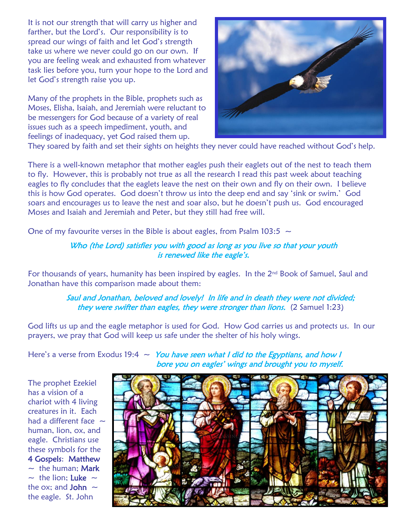It is not our strength that will carry us higher and farther, but the Lord's. Our responsibility is to spread our wings of faith and let God's strength take us where we never could go on our own. If you are feeling weak and exhausted from whatever task lies before you, turn your hope to the Lord and let God's strength raise you up.

Many of the prophets in the Bible, prophets such as Moses, Elisha, Isaiah, and Jeremiah were reluctant to be messengers for God because of a variety of real issues such as a speech impediment, youth, and feelings of inadequacy, yet God raised them up.



They soared by faith and set their sights on heights they never could have reached without God's help.

There is a well-known metaphor that mother eagles push their eaglets out of the nest to teach them to fly. However, this is probably not true as all the research I read this past week about teaching eagles to fly concludes that the eaglets leave the nest on their own and fly on their own. I believe this is how God operates. God doesn't throw us into the deep end and say 'sink or swim.' God soars and encourages us to leave the nest and soar also, but he doesn't push us. God encouraged Moses and Isaiah and Jeremiah and Peter, but they still had free will.

One of my favourite verses in the Bible is about eagles, from Psalm 103:5  $\sim$ 

#### Who (the Lord) satisfies you with good as long as you live so that your youth is renewed like the eagle's.

For thousands of years, humanity has been inspired by eagles. In the  $2^{nd}$  Book of Samuel, Saul and Jonathan have this comparison made about them:

#### Saul and Jonathan, beloved and lovely! In life and in death they were not divided; they were swifter than eagles, they were stronger than lions. (2 Samuel 1:23)

God lifts us up and the eagle metaphor is used for God. How God carries us and protects us. In our prayers, we pray that God will keep us safe under the shelter of his holy wings.

Here's a verse from Exodus 19:4  $\sim$  You have seen what I did to the Egyptians, and how I bore you on eagles' wings and brought you to myself.

The prophet Ezekiel has a vision of a chariot with 4 living creatures in it. Each had a different face  $\sim$ human, lion, ox, and eagle. Christians use these symbols for the 4 Gospels: Matthew  $\sim$  the human: Mark  $\sim$  the lion: Luke  $\sim$ the ox: and **John**  $\sim$ the eagle. St. John

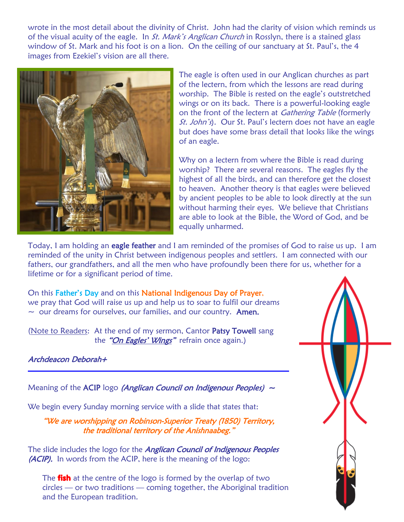wrote in the most detail about the divinity of Christ. John had the clarity of vision which reminds us of the visual acuity of the eagle. In *St. Mark's Anglican Church* in Rosslyn, there is a stained glass window of St. Mark and his foot is on a lion. On the ceiling of our sanctuary at St. Paul's, the 4 images from Ezekiel's vision are all there.



The eagle is often used in our Anglican churches as part of the lectern, from which the lessons are read during worship. The Bible is rested on the eagle's outstretched wings or on its back. There is a powerful-looking eagle on the front of the lectern at *Gathering Table* (formerly St. John's). Our St. Paul's lectern does not have an eagle but does have some brass detail that looks like the wings of an eagle.

Why on a lectern from where the Bible is read during worship? There are several reasons. The eagles fly the highest of all the birds, and can therefore get the closest to heaven. Another theory is that eagles were believed by ancient peoples to be able to look directly at the sun without harming their eyes. We believe that Christians are able to look at the Bible, the Word of God, and be equally unharmed.

Today, I am holding an eagle feather and I am reminded of the promises of God to raise us up. I am reminded of the unity in Christ between indigenous peoples and settlers. I am connected with our fathers, our grandfathers, and all the men who have profoundly been there for us, whether for a lifetime or for a significant period of time.

On this Father's Day and on this National Indigenous Day of Prayer, we pray that God will raise us up and help us to soar to fulfil our dreams  $\sim$  our dreams for ourselves, our families, and our country. Amen.

(Note to Readers: At the end of my sermon, Cantor Patsy Towell sang the "On Eagles' Wings" refrain once again.)

# Archdeacon Deborah+

Meaning of the ACIP logo (Anglican Council on Indigenous Peoples)  $\sim$ 

We begin every Sunday morning service with a slide that states that:

"We are worshipping on Robinson-Superior Treaty (1850) Territory, the traditional territory of the Anishnaabeg."

The slide includes the logo for the *Anglican Council of Indigenous Peoples* (ACIP). In words from the ACIP, here is the meaning of the logo:

The **fish** at the centre of the logo is formed by the overlap of two circles — or two traditions — coming together, the Aboriginal tradition and the European tradition.